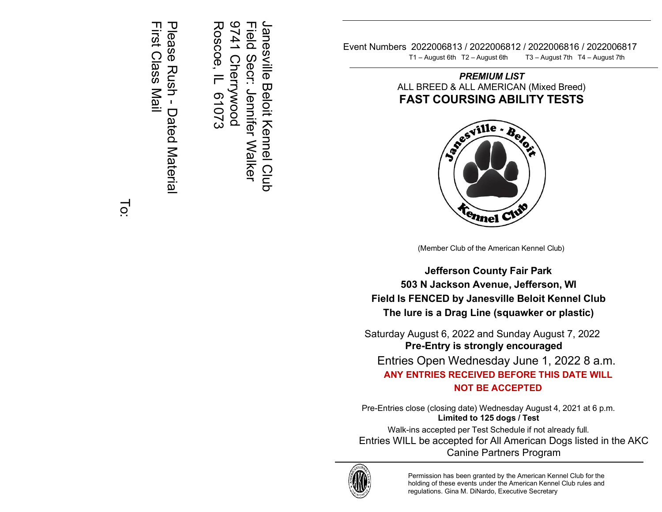First Class Mail First Class Mail Please Rush - Dated Material

**Field** Roscoe, IL 61073 9741 Cherrywood 9741 Cherrywood Field Secr: Jennifer Walker Janesville Roscoe, IL 61073 Secr: Jennifer Walker Beloit Kennel Club<br>D

Event Numbers 2022006813 / 2022006812 / 2022006816 / 2022006817

T1 – August 6th T2 – August 6th T3 – August 7th T4 – August 7th

*PREMIUM LIST* ALL BREED & ALL AMERICAN (Mixed Breed) **FAST COURSING ABILITY TESTS**



(Member Club of the American Kennel Club)

**Jefferson County Fair Park 503 N Jackson Avenue, Jefferson, WI Field Is FENCED by Janesville Beloit Kennel Club The lure is a Drag Line (squawker or plastic)**

Saturday August 6, 2022 and Sunday August 7, 2022 **Pre -Entry is strongly encouraged** Entries Open Wednesday June 1, 2022 8 a.m. **ANY ENTRIES RECEIVED BEFORE THIS DATE WILL NOT BE ACCEPTED**

Pre -Entries close (closing date) Wednesday August 4, 2021 at 6 p.m. **Limited to 125 dogs / Test**

Walk -ins accepted per Test Schedule if not already full. Entries WILL be accepted for All American Dogs listed in the AKC Canine Partners Program



Permission has been granted by the American Kennel Club for the holding of these events under the American Kennel Club rules and regulations. Gina M. DiNardo, Executive Secretary

 $\overline{C}$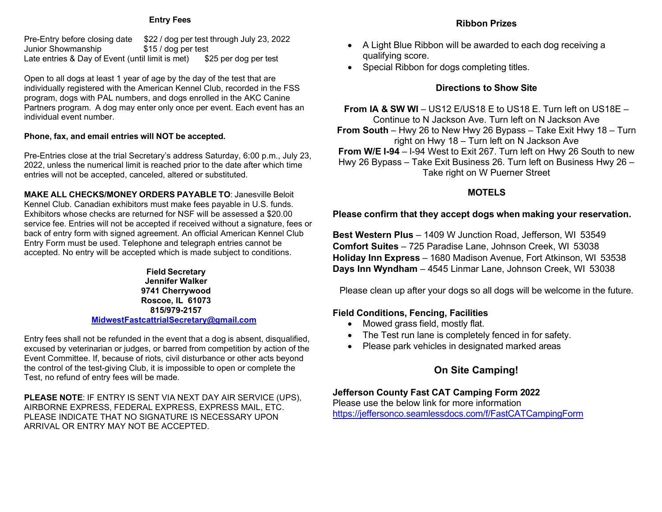#### **Entry Fees**

Pre-Entry before closing date \$22 / dog per test through July 23, 2022 Junior Showmanship \$15 / dog per test Late entries  $&$  Day of Event (until limit is met)  $&$  \$25 per dog per test

Open to all dogs at least 1 year of age by the day of the test that are individually registered with the American Kennel Club, recorded in the FSS program, dogs with PAL numbers, and dogs enrolled in the AKC Canine Partners program. A dog may enter only once per event. Each event has an individual event number.

## **Phone, fax, and email entries will NOT be accepted.**

Pre-Entries close at the trial Secretary's address Saturday, 6:00 p.m., July 23, 2022, unless the numerical limit is reached prior to the date after which time entries will not be accepted, canceled, altered or substituted.

**MAKE ALL CHECKS/MONEY ORDERS PAYABLE TO**: Janesville Beloit Kennel Club. Canadian exhibitors must make fees payable in U.S. funds. Exhibitors whose checks are returned for NSF will be assessed a \$20.00 service fee. Entries will not be accepted if received without a signature, fees or back of entry form with signed agreement. An official American Kennel Club Entry Form must be used. Telephone and telegraph entries cannot be accepted. No entry will be accepted which is made subject to conditions.

> **Field Secretary Jennifer Walker 9741 Cherrywood Roscoe, IL 61073 815/979-2157 [MidwestFastcattrialSecretary@gmail.com](mailto:MidwestFastcattrialSecretary@gmail.com)**

Entry fees shall not be refunded in the event that a dog is absent, disqualified, excused by veterinarian or judges, or barred from competition by action of the Event Committee. If, because of riots, civil disturbance or other acts beyond the control of the test-giving Club, it is impossible to open or complete the Test, no refund of entry fees will be made.

**PLEASE NOTE**: IF ENTRY IS SENT VIA NEXT DAY AIR SERVICE (UPS), AIRBORNE EXPRESS, FEDERAL EXPRESS, EXPRESS MAIL, ETC. PLEASE INDICATE THAT NO SIGNATURE IS NECESSARY UPON ARRIVAL OR ENTRY MAY NOT BE ACCEPTED.

- A Light Blue Ribbon will be awarded to each dog receiving a qualifying score.
- Special Ribbon for dogs completing titles.

## **Directions to Show Site**

**From IA & SW WI** – US12 F/US18 F to US18 F. Turn left on US18 F. Continue to N Jackson Ave. Turn left on N Jackson Ave **From South** – Hwy 26 to New Hwy 26 Bypass – Take Exit Hwy 18 – Turn right on Hwy 18 – Turn left on N Jackson Ave **From W/E I-94** – I-94 West to Exit 267. Turn left on Hwy 26 South to new Hwy 26 Bypass – Take Exit Business 26. Turn left on Business Hwy 26 – Take right on W Puerner Street

## **MOTELS**

## **Please confirm that they accept dogs when making your reservation.**

**Best Western Plus** – 1409 W Junction Road, Jefferson, WI 53549 **Comfort Suites** – 725 Paradise Lane, Johnson Creek, WI 53038 **Holiday Inn Express** – 1680 Madison Avenue, Fort Atkinson, WI 53538 **Days Inn Wyndham** – 4545 Linmar Lane, Johnson Creek, WI 53038

Please clean up after your dogs so all dogs will be welcome in the future.

## **Field Conditions, Fencing, Facilities**

- Mowed grass field, mostly flat.
- The Test run lane is completely fenced in for safety.
- Please park vehicles in designated marked areas

# **On Site Camping!**

## **Jefferson County Fast CAT Camping Form 2022**

Please use the below link for more information <https://jeffersonco.seamlessdocs.com/f/FastCATCampingForm>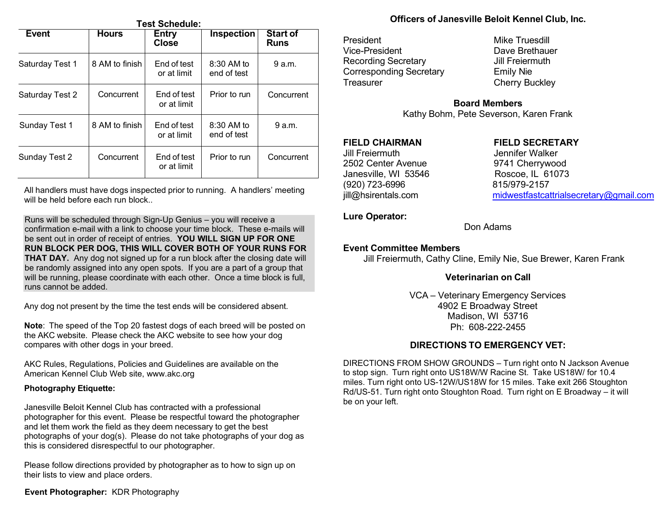| <b>Event</b>    | <b>Hours</b>   | Entry<br>Close             | <b>Inspection</b>           | <b>Start of</b><br><b>Runs</b> |
|-----------------|----------------|----------------------------|-----------------------------|--------------------------------|
| Saturday Test 1 | 8 AM to finish | End of test<br>or at limit | $8:30$ AM to<br>end of test | 9a.m.                          |
| Saturday Test 2 | Concurrent     | End of test<br>or at limit | Prior to run                | Concurrent                     |
| Sunday Test 1   | 8 AM to finish | End of test<br>or at limit | 8:30 AM to<br>end of test   | 9 a.m.                         |
| Sunday Test 2   | Concurrent     | End of test<br>or at limit | Prior to run                | Concurrent                     |

All handlers must have dogs inspected prior to running. A handlers' meeting will be held before each run block..

Runs will be scheduled through Sign-Up Genius – you will receive a confirmation e-mail with a link to choose your time block. These e-mails will be sent out in order of receipt of entries. **YOU WILL SIGN UP FOR ONE RUN BLOCK PER DOG, THIS WILL COVER BOTH OF YOUR RUNS FOR THAT DAY.** Any dog not signed up for a run block after the closing date will be randomly assigned into any open spots. If you are a part of a group that will be running, please coordinate with each other. Once a time block is full, runs cannot be added.

Any dog not present by the time the test ends will be considered absent.

**Note**: The speed of the Top 20 fastest dogs of each breed will be posted on the AKC website. Please check the AKC website to see how your dog compares with other dogs in your breed.

AKC Rules, Regulations, Policies and Guidelines are available on the American Kennel Club Web site, [www.akc.org](http://www.akc.org/)

#### **Photography Etiquette:**

Janesville Beloit Kennel Club has contracted with a professional photographer for this event. Please be respectful toward the photographer and let them work the field as they deem necessary to get the best photographs of your dog(s). Please do not take photographs of your dog as this is considered disrespectful to our photographer.

Please follow directions provided by photographer as to how to sign up on their lists to view and place orders.

# **Officers of Janesville Beloit Kennel Club, Inc.**

President Mike Truesdill Vice-President Dave Brethauer Recording Secretary Jill Freiermuth Corresponding Secretary Treasurer **Cherry Buckley** 

**Board Members** Kathy Bohm, Pete Severson, Karen Frank

## **FIELD CHAIRMAN FIELD SECRETARY**

Jill Freiermuth Jennifer Walker 2502 Center Avenue 9741 Cherrywood Janesville, WI 53546 Roscoe, IL 61073 (920) 723-6996 815/979-2157

[jill@hsirentals.com](mailto:jill@hsirentals.com) [midwestfastcattrialsecretary@gmail.com](mailto:midwestfastcattrialsecretary@gmail.com)

# **Lure Operator:**

Don Adams

## **Event Committee Members**

Jill Freiermuth, Cathy Cline, Emily Nie, Sue Brewer, Karen Frank

## **Veterinarian on Call**

VCA – Veterinary Emergency Services 4902 E Broadway Street Madison, WI 53716 Ph: 608-222-2455

## **DIRECTIONS TO EMERGENCY VET:**

DIRECTIONS FROM SHOW GROUNDS – Turn right onto N Jackson Avenue to stop sign. Turn right onto US18W/W Racine St. Take US18W/ for 10.4 miles. Turn right onto US-12W/US18W for 15 miles. Take exit 266 Stoughton Rd/US-51. Turn right onto Stoughton Road. Turn right on E Broadway – it will be on your left.

**Event Photographer:** KDR Photography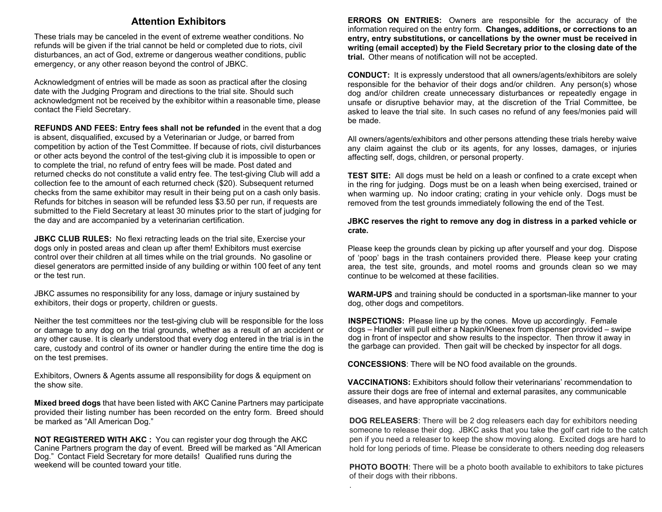# **Attention Exhibitors**

These trials may be canceled in the event of extreme weather conditions. No refunds will be given if the trial cannot be held or completed due to riots, civil disturbances, an act of God, extreme or dangerous weather conditions, public emergency, or any other reason beyond the control of JBKC.

Acknowledgment of entries will be made as soon as practical after the closing date with the Judging Program and directions to the trial site. Should such acknowledgment not be received by the exhibitor within a reasonable time, please contact the Field Secretary.

**REFUNDS AND FEES: Entry fees shall not be refunded** in the event that a dog is absent, disqualified, excused by a Veterinarian or Judge, or barred from competition by action of the Test Committee. If because of riots, civil disturbances or other acts beyond the control of the test-giving club it is impossible to open or to complete the trial, no refund of entry fees will be made. Post dated and returned checks do not constitute a valid entry fee. The test-giving Club will add a collection fee to the amount of each returned check (\$20). Subsequent returned checks from the same exhibitor may result in their being put on a cash only basis. Refunds for bitches in season will be refunded less \$3.50 per run, if requests are submitted to the Field Secretary at least 30 minutes prior to the start of judging for the day and are accompanied by a veterinarian certification.

**JBKC CLUB RULES:** No flexi retracting leads on the trial site, Exercise your dogs only in posted areas and clean up after them! Exhibitors must exercise control over their children at all times while on the trial grounds. No gasoline or diesel generators are permitted inside of any building or within 100 feet of any tent or the test run.

JBKC assumes no responsibility for any loss, damage or injury sustained by exhibitors, their dogs or property, children or guests.

Neither the test committees nor the test-giving club will be responsible for the loss or damage to any dog on the trial grounds, whether as a result of an accident or any other cause. It is clearly understood that every dog entered in the trial is in the care, custody and control of its owner or handler during the entire time the dog is on the test premises.

Exhibitors, Owners & Agents assume all responsibility for dogs & equipment on the show site.

**Mixed breed dogs** that have been listed with AKC Canine Partners may participate provided their listing number has been recorded on the entry form. Breed should be marked as "All American Dog."

**NOT REGISTERED WITH AKC :** You can register your dog through the AKC Canine Partners program the day of event. Breed will be marked as "All American Dog." Contact Field Secretary for more details! Qualified runs during the weekend will be counted toward your title.

**ERRORS ON ENTRIES:** Owners are responsible for the accuracy of the information required on the entry form. **Changes, additions, or corrections to an entry, entry substitutions, or cancellations by the owner must be received in writing (email accepted) by the Field Secretary prior to the closing date of the trial.** Other means of notification will not be accepted.

**CONDUCT:** It is expressly understood that all owners/agents/exhibitors are solely responsible for the behavior of their dogs and/or children. Any person(s) whose dog and/or children create unnecessary disturbances or repeatedly engage in unsafe or disruptive behavior may, at the discretion of the Trial Committee, be asked to leave the trial site. In such cases no refund of any fees/monies paid will be made.

All owners/agents/exhibitors and other persons attending these trials hereby waive any claim against the club or its agents, for any losses, damages, or injuries affecting self, dogs, children, or personal property.

**TEST SITE:** All dogs must be held on a leash or confined to a crate except when in the ring for judging. Dogs must be on a leash when being exercised, trained or when warming up. No indoor crating; crating in your vehicle only. Dogs must be removed from the test grounds immediately following the end of the Test.

**JBKC reserves the right to remove any dog in distress in a parked vehicle or crate.**

Please keep the grounds clean by picking up after yourself and your dog. Dispose of 'poop' bags in the trash containers provided there. Please keep your crating area, the test site, grounds, and motel rooms and grounds clean so we may continue to be welcomed at these facilities.

**WARM-UPS** and training should be conducted in a sportsman-like manner to your dog, other dogs and competitors.

**INSPECTIONS:** Please line up by the cones. Move up accordingly. Female dogs – Handler will pull either a Napkin/Kleenex from dispenser provided – swipe dog in front of inspector and show results to the inspector. Then throw it away in the garbage can provided. Then gait will be checked by inspector for all dogs.

**CONCESSIONS**: There will be NO food available on the grounds.

.

**VACCINATIONS:** Exhibitors should follow their veterinarians' recommendation to assure their dogs are free of internal and external parasites, any communicable diseases, and have appropriate vaccinations.

**DOG RELEASERS**: There will be 2 dog releasers each day for exhibitors needing someone to release their dog. JBKC asks that you take the golf cart ride to the catch pen if you need a releaser to keep the show moving along. Excited dogs are hard to hold for long periods of time. Please be considerate to others needing dog releasers

**PHOTO BOOTH**: There will be a photo booth available to exhibitors to take pictures of their dogs with their ribbons.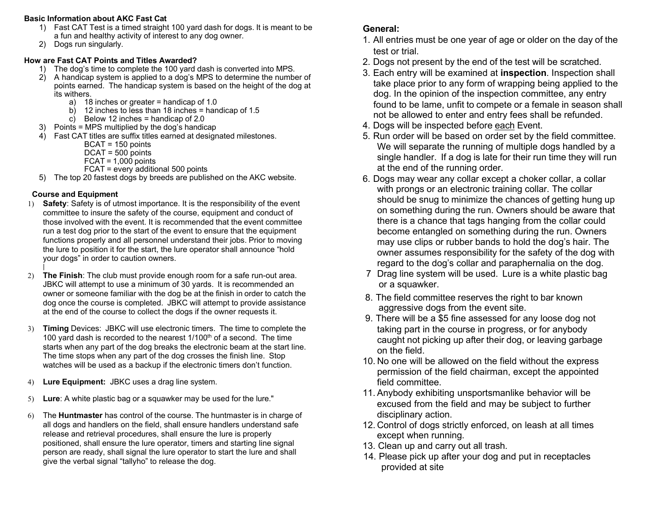#### **Basic Information about AKC Fast Cat**

- 1) Fast CAT Test is a timed straight 100 yard dash for dogs. It is meant to be a fun and healthy activity of interest to any dog owner.
- 2) Dogs run singularly.

# **How are Fast CAT Points and Titles Awarded?**

- 1) The dog's time to complete the 100 yard dash is converted into MPS.
- 2) A handicap system is applied to a dog's MPS to determine the number of points earned. The handicap system is based on the height of the dog at its withers.
	- a) 18 inches or greater = handicap of  $1.0$
	- b) 12 inches to less than 18 inches = handicap of 1.5
	- c) Below 12 inches = handicap of 2.0
- 3) Points = MPS multiplied by the dog's handicap
- 4) Fast CAT titles are suffix titles earned at designated milestones.
	- BCAT = 150 points
		- DCAT = 500 points
		- $FCAT = 1,000$  points
		- FCAT = every additional 500 points
- 5) The top 20 fastest dogs by breeds are published on the AKC website.

# **Course and Equipment**

- 1) **Safety**: Safety is of utmost importance. It is the responsibility of the event committee to insure the safety of the course, equipment and conduct of those involved with the event. It is recommended that the event committee run a test dog prior to the start of the event to ensure that the equipment functions properly and all personnel understand their jobs. Prior to moving the lure to position it for the start, the lure operator shall announce "hold your dogs" in order to caution owners.
- 2) **The Finish**: The club must provide enough room for a safe run-out area. JBKC will attempt to use a minimum of 30 yards. It is recommended an owner or someone familiar with the dog be at the finish in order to catch the dog once the course is completed. JBKC will attempt to provide assistance at the end of the course to collect the dogs if the owner requests it.
- 3) **Timing** Devices: JBKC will use electronic timers. The time to complete the 100 yard dash is recorded to the nearest  $1/100<sup>th</sup>$  of a second. The time starts when any part of the dog breaks the electronic beam at the start line. The time stops when any part of the dog crosses the finish line. Stop watches will be used as a backup if the electronic timers don't function.
- 4) **Lure Equipment:** JBKC uses a drag line system.
- 5) **Lure**: A white plastic bag or a squawker may be used for the lure."
- 6) The **Huntmaster** has control of the course. The huntmaster is in charge of all dogs and handlers on the field, shall ensure handlers understand safe release and retrieval procedures, shall ensure the lure is properly positioned, shall ensure the lure operator, timers and starting line signal person are ready, shall signal the lure operator to start the lure and shall give the verbal signal "tallyho" to release the dog.

# **General:**

- 1. All entries must be one year of age or older on the day of the test or trial.
- 2. Dogs not present by the end of the test will be scratched.
- 3. Each entry will be examined at **inspection**. Inspection shall take place prior to any form of wrapping being applied to the dog. In the opinion of the inspection committee, any entry found to be lame, unfit to compete or a female in season shall not be allowed to enter and entry fees shall be refunded.
- 4. Dogs will be inspected before each Event.
- 5. Run order will be based on order set by the field committee. We will separate the running of multiple dogs handled by a single handler. If a dog is late for their run time they will run at the end of the running order.
- 6. Dogs may wear any collar except a choker collar, a collar with prongs or an electronic training collar. The collar should be snug to minimize the chances of getting hung up on something during the run. Owners should be aware that there is a chance that tags hanging from the collar could become entangled on something during the run. Owners may use clips or rubber bands to hold the dog's hair. The owner assumes responsibility for the safety of the dog with regard to the dog's collar and paraphernalia on the dog.
- 7 Drag line system will be used. Lure is a white plastic bag or a squawker.
- 8. The field committee reserves the right to bar known aggressive dogs from the event site.
- 9. There will be a \$5 fine assessed for any loose dog not taking part in the course in progress, or for anybody caught not picking up after their dog, or leaving garbage on the field.
- 10. No one will be allowed on the field without the express permission of the field chairman, except the appointed field committee.
- 11. Anybody exhibiting unsportsmanlike behavior will be excused from the field and may be subject to further disciplinary action.
- 12. Control of dogs strictly enforced, on leash at all times except when running.
- 13. Clean up and carry out all trash.
- 14. Please pick up after your dog and put in receptacles provided at site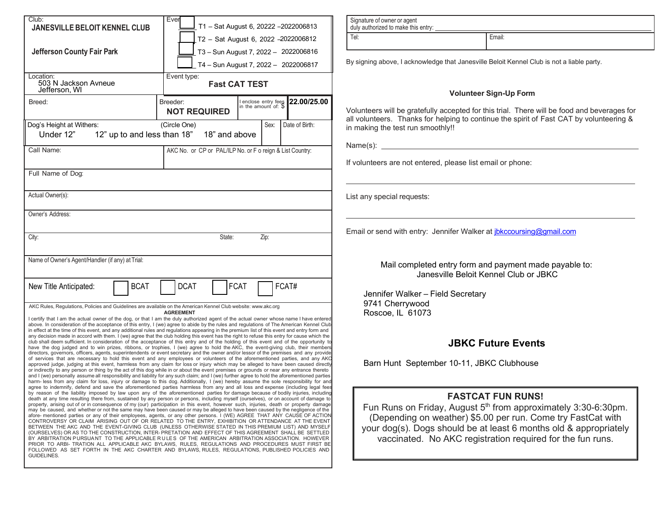| Club:<br><b>JANESVILLE BELOIT KENNEL CLUB</b>                                                                                                                                                                                                                                                                                                                                                                                                                                                                                                                                                                                                                                                                                                                                                                                                                                                                                                                                                                                                                                                                                                                                                                                                                                                                                                                                                                                                                                                                                                                                                                                                                                                                                                                                                                                                                                                          | Ever<br>T1 - Sat August 6, 20222 -2022006813                                   |  | Signature of owner or agent<br>duly authorized to make this entry:                                                                                 |                                                                                             |  |             |                                                                                                                                                                                                                                                                                                                                                                                                                                                                                                                                                                                                                                                                                                                                                                                                                                                                                                                                                                                                                                                                                                                                                                                                                                                                                                                                                                                                                                                   |  |  |                                                                                                                                                                                                                                                                                                           |
|--------------------------------------------------------------------------------------------------------------------------------------------------------------------------------------------------------------------------------------------------------------------------------------------------------------------------------------------------------------------------------------------------------------------------------------------------------------------------------------------------------------------------------------------------------------------------------------------------------------------------------------------------------------------------------------------------------------------------------------------------------------------------------------------------------------------------------------------------------------------------------------------------------------------------------------------------------------------------------------------------------------------------------------------------------------------------------------------------------------------------------------------------------------------------------------------------------------------------------------------------------------------------------------------------------------------------------------------------------------------------------------------------------------------------------------------------------------------------------------------------------------------------------------------------------------------------------------------------------------------------------------------------------------------------------------------------------------------------------------------------------------------------------------------------------------------------------------------------------------------------------------------------------|--------------------------------------------------------------------------------|--|----------------------------------------------------------------------------------------------------------------------------------------------------|---------------------------------------------------------------------------------------------|--|-------------|---------------------------------------------------------------------------------------------------------------------------------------------------------------------------------------------------------------------------------------------------------------------------------------------------------------------------------------------------------------------------------------------------------------------------------------------------------------------------------------------------------------------------------------------------------------------------------------------------------------------------------------------------------------------------------------------------------------------------------------------------------------------------------------------------------------------------------------------------------------------------------------------------------------------------------------------------------------------------------------------------------------------------------------------------------------------------------------------------------------------------------------------------------------------------------------------------------------------------------------------------------------------------------------------------------------------------------------------------------------------------------------------------------------------------------------------------|--|--|-----------------------------------------------------------------------------------------------------------------------------------------------------------------------------------------------------------------------------------------------------------------------------------------------------------|
|                                                                                                                                                                                                                                                                                                                                                                                                                                                                                                                                                                                                                                                                                                                                                                                                                                                                                                                                                                                                                                                                                                                                                                                                                                                                                                                                                                                                                                                                                                                                                                                                                                                                                                                                                                                                                                                                                                        | T2 - Sat August 6, 2022 - 2022006812                                           |  | Tel:                                                                                                                                               | Email:                                                                                      |  |             |                                                                                                                                                                                                                                                                                                                                                                                                                                                                                                                                                                                                                                                                                                                                                                                                                                                                                                                                                                                                                                                                                                                                                                                                                                                                                                                                                                                                                                                   |  |  |                                                                                                                                                                                                                                                                                                           |
| Jefferson County Fair Park                                                                                                                                                                                                                                                                                                                                                                                                                                                                                                                                                                                                                                                                                                                                                                                                                                                                                                                                                                                                                                                                                                                                                                                                                                                                                                                                                                                                                                                                                                                                                                                                                                                                                                                                                                                                                                                                             | T3-Sun August 7, 2022- 2022006816<br>T4 - Sun August 7, 2022 - 2022006817      |  | By signing above, I acknowledge that Janesville Beloit Kennel Club is not a liable party.                                                          |                                                                                             |  |             |                                                                                                                                                                                                                                                                                                                                                                                                                                                                                                                                                                                                                                                                                                                                                                                                                                                                                                                                                                                                                                                                                                                                                                                                                                                                                                                                                                                                                                                   |  |  |                                                                                                                                                                                                                                                                                                           |
| Location:<br>Event type:<br>503 N Jackson Avneue<br><b>Fast CAT TEST</b><br>Jefferson, WI                                                                                                                                                                                                                                                                                                                                                                                                                                                                                                                                                                                                                                                                                                                                                                                                                                                                                                                                                                                                                                                                                                                                                                                                                                                                                                                                                                                                                                                                                                                                                                                                                                                                                                                                                                                                              |                                                                                |  | <b>Volunteer Sign-Up Form</b>                                                                                                                      |                                                                                             |  |             |                                                                                                                                                                                                                                                                                                                                                                                                                                                                                                                                                                                                                                                                                                                                                                                                                                                                                                                                                                                                                                                                                                                                                                                                                                                                                                                                                                                                                                                   |  |  |                                                                                                                                                                                                                                                                                                           |
| Breed:                                                                                                                                                                                                                                                                                                                                                                                                                                                                                                                                                                                                                                                                                                                                                                                                                                                                                                                                                                                                                                                                                                                                                                                                                                                                                                                                                                                                                                                                                                                                                                                                                                                                                                                                                                                                                                                                                                 | If enclose entry fees $\boxed{22.00/25.00}$<br>Breeder:<br><b>NOT REQUIRED</b> |  |                                                                                                                                                    | Volunteers will be gratefully accepted for this trial. There will be food and beverages for |  |             |                                                                                                                                                                                                                                                                                                                                                                                                                                                                                                                                                                                                                                                                                                                                                                                                                                                                                                                                                                                                                                                                                                                                                                                                                                                                                                                                                                                                                                                   |  |  |                                                                                                                                                                                                                                                                                                           |
| Dog's Height at Withers:<br>(Circle One)<br>Sex: Date of Birth:<br>12" up to and less than 18" 18" and above<br>Under 12"                                                                                                                                                                                                                                                                                                                                                                                                                                                                                                                                                                                                                                                                                                                                                                                                                                                                                                                                                                                                                                                                                                                                                                                                                                                                                                                                                                                                                                                                                                                                                                                                                                                                                                                                                                              |                                                                                |  | all volunteers. Thanks for helping to continue the spirit of Fast CAT by volunteering &<br>in making the test run smoothly!!                       |                                                                                             |  |             |                                                                                                                                                                                                                                                                                                                                                                                                                                                                                                                                                                                                                                                                                                                                                                                                                                                                                                                                                                                                                                                                                                                                                                                                                                                                                                                                                                                                                                                   |  |  |                                                                                                                                                                                                                                                                                                           |
| Call Name:                                                                                                                                                                                                                                                                                                                                                                                                                                                                                                                                                                                                                                                                                                                                                                                                                                                                                                                                                                                                                                                                                                                                                                                                                                                                                                                                                                                                                                                                                                                                                                                                                                                                                                                                                                                                                                                                                             | AKC No. or CP or PAL/ILP No. or F o reign & List Country:                      |  |                                                                                                                                                    |                                                                                             |  |             |                                                                                                                                                                                                                                                                                                                                                                                                                                                                                                                                                                                                                                                                                                                                                                                                                                                                                                                                                                                                                                                                                                                                                                                                                                                                                                                                                                                                                                                   |  |  |                                                                                                                                                                                                                                                                                                           |
|                                                                                                                                                                                                                                                                                                                                                                                                                                                                                                                                                                                                                                                                                                                                                                                                                                                                                                                                                                                                                                                                                                                                                                                                                                                                                                                                                                                                                                                                                                                                                                                                                                                                                                                                                                                                                                                                                                        |                                                                                |  | If volunteers are not entered, please list email or phone:                                                                                         |                                                                                             |  |             |                                                                                                                                                                                                                                                                                                                                                                                                                                                                                                                                                                                                                                                                                                                                                                                                                                                                                                                                                                                                                                                                                                                                                                                                                                                                                                                                                                                                                                                   |  |  |                                                                                                                                                                                                                                                                                                           |
| Full Name of Dog:                                                                                                                                                                                                                                                                                                                                                                                                                                                                                                                                                                                                                                                                                                                                                                                                                                                                                                                                                                                                                                                                                                                                                                                                                                                                                                                                                                                                                                                                                                                                                                                                                                                                                                                                                                                                                                                                                      |                                                                                |  |                                                                                                                                                    |                                                                                             |  |             |                                                                                                                                                                                                                                                                                                                                                                                                                                                                                                                                                                                                                                                                                                                                                                                                                                                                                                                                                                                                                                                                                                                                                                                                                                                                                                                                                                                                                                                   |  |  |                                                                                                                                                                                                                                                                                                           |
| Actual Owner(s):                                                                                                                                                                                                                                                                                                                                                                                                                                                                                                                                                                                                                                                                                                                                                                                                                                                                                                                                                                                                                                                                                                                                                                                                                                                                                                                                                                                                                                                                                                                                                                                                                                                                                                                                                                                                                                                                                       |                                                                                |  | List any special requests:                                                                                                                         |                                                                                             |  |             |                                                                                                                                                                                                                                                                                                                                                                                                                                                                                                                                                                                                                                                                                                                                                                                                                                                                                                                                                                                                                                                                                                                                                                                                                                                                                                                                                                                                                                                   |  |  |                                                                                                                                                                                                                                                                                                           |
| Owner's Address:                                                                                                                                                                                                                                                                                                                                                                                                                                                                                                                                                                                                                                                                                                                                                                                                                                                                                                                                                                                                                                                                                                                                                                                                                                                                                                                                                                                                                                                                                                                                                                                                                                                                                                                                                                                                                                                                                       |                                                                                |  |                                                                                                                                                    |                                                                                             |  |             |                                                                                                                                                                                                                                                                                                                                                                                                                                                                                                                                                                                                                                                                                                                                                                                                                                                                                                                                                                                                                                                                                                                                                                                                                                                                                                                                                                                                                                                   |  |  |                                                                                                                                                                                                                                                                                                           |
| State:<br>Zip:<br>City:                                                                                                                                                                                                                                                                                                                                                                                                                                                                                                                                                                                                                                                                                                                                                                                                                                                                                                                                                                                                                                                                                                                                                                                                                                                                                                                                                                                                                                                                                                                                                                                                                                                                                                                                                                                                                                                                                |                                                                                |  | Email or send with entry: Jennifer Walker at <i>jbkccoursing@gmail.com</i>                                                                         |                                                                                             |  |             |                                                                                                                                                                                                                                                                                                                                                                                                                                                                                                                                                                                                                                                                                                                                                                                                                                                                                                                                                                                                                                                                                                                                                                                                                                                                                                                                                                                                                                                   |  |  |                                                                                                                                                                                                                                                                                                           |
| Name of Owner's Agent/Handler (if any) at Trial:                                                                                                                                                                                                                                                                                                                                                                                                                                                                                                                                                                                                                                                                                                                                                                                                                                                                                                                                                                                                                                                                                                                                                                                                                                                                                                                                                                                                                                                                                                                                                                                                                                                                                                                                                                                                                                                       |                                                                                |  | Mail completed entry form and payment made payable to:<br>Janesville Beloit Kennel Club or JBKC                                                    |                                                                                             |  |             |                                                                                                                                                                                                                                                                                                                                                                                                                                                                                                                                                                                                                                                                                                                                                                                                                                                                                                                                                                                                                                                                                                                                                                                                                                                                                                                                                                                                                                                   |  |  |                                                                                                                                                                                                                                                                                                           |
| <b>FCAT</b><br><b>BCAT</b><br><b>DCAT</b><br>FCAT#<br>New Title Anticipated:<br>AKC Rules, Regulations, Policies and Guidelines are available on the American Kennel Club website: www.akc.org<br><b>AGREEMENT</b><br>I certify that I am the actual owner of the dog, or that I am the duly authorized agent of the actual owner whose name I have entered<br>above. In consideration of the acceptance of this entry, I (we) agree to abide by the rules and regulations of The American Kennel Club<br>in effect at the time of this event, and any additional rules and regulations appearing in the premium list of this event and entry form and<br>any decision made in accord with them. I (we) agree that the club holding this event has the right to refuse this entry for cause which the<br>club shall deem sufficient. In consideration of the acceptance of this entry and of the holding of this event and of the opportunity to<br>have the dog judged and to win prizes, ribbons, or trophies, I (we) agree to hold the AKC, the event-giving club, their members<br>directors, governors, officers, agents, superintendents or event secretary and the owner and/or lessor of the premises and any provide<br>of services that are necessary to hold this event and any employees or volunteers of the aforementioned parties, and any AKC<br>approved judge, judging at this event, harmless from any claim for loss or injury which may be al<br>or indirectly to any person or thing by the act of this dog while in or about the event premises or grounds or near any entrance thereto<br>and I (we) personally assume all responsibility and liability for any such claim; and I (we) further agree to hold the aforementioned parties<br>harm-less from any claim for loss, injury or damage to this dog. Additionally, I (we) hereby assume the sole responsibility for and |                                                                                |  | Jennifer Walker - Field Secretary<br>9741 Cherrywood<br>Roscoe, IL 61073<br><b>JBKC Future Events</b><br>Barn Hunt September 10-11, JBKC Clubhouse |                                                                                             |  |             |                                                                                                                                                                                                                                                                                                                                                                                                                                                                                                                                                                                                                                                                                                                                                                                                                                                                                                                                                                                                                                                                                                                                                                                                                                                                                                                                                                                                                                                   |  |  |                                                                                                                                                                                                                                                                                                           |
|                                                                                                                                                                                                                                                                                                                                                                                                                                                                                                                                                                                                                                                                                                                                                                                                                                                                                                                                                                                                                                                                                                                                                                                                                                                                                                                                                                                                                                                                                                                                                                                                                                                                                                                                                                                                                                                                                                        |                                                                                |  |                                                                                                                                                    |                                                                                             |  | GUIDELINES. | agree to indemnify, defend and save the aforementioned parties harmless from any and all loss and expense (including legal fees<br>by reason of the liability imposed by law upon any of the aforementioned parties for damage because of bodily injuries, including<br>death at any time resulting there from, sustained by any person or persons, including myself (ourselves), or on account of damage to<br>property, arising out of or in consequence of my (our) participation in this event, however such, injuries, death or property damage<br>may be caused, and whether or not the same may have been caused or may be alleged to have been caused by the negligence of the<br>afore-mentioned parties or any of their employees, agents, or any other persons. I (WE) AGREE THAT ANY CAUSE OF ACTION<br>CONTROVERSY OR CLAIM ARISING OUT OF OR RELATED TO THE ENTRY, EXHIBITION OR ATTENDANCE AT THE EVENT<br>BETWEEN THE AKC AND THE EVENT-GIVING CLUB (UNLESS OTHERWISE STATED IN THIS PREMIUM LIST) AND MYSELF<br>(OURSELVES) OR AS TO THE CONSTRUCTION, INTER-PRETATION AND EFFECT OF THIS AGREEMENT SHALL BE SETTLED<br>BY ARBITRATION PURSUANT TO THE APPLICABLE RULES OF THE AMERICAN ARBITRATION ASSOCIATION. HOWEVER<br>PRIOR TO ARBI- TRATION ALL APPLICABLE AKC BYLAWS, RULES, REGULATIONS AND PROCEDURES MUST FIRST BE<br>FOLLOWED AS SET FORTH IN THE AKC CHARTER AND BYLAWS, RULES, REGULATIONS, PUBLISHED POLICIES AND |  |  | <b>FASTCAT FUN RUNS!</b><br>Fun Runs on Friday, August 5 <sup>th</sup> from approximately 3:30-6:30pm.<br>(Depending on weather) \$5.00 per run. Come try FastCat with<br>your dog(s). Dogs should be at least 6 months old & appropriately<br>vaccinated. No AKC registration required for the fun runs. |
|                                                                                                                                                                                                                                                                                                                                                                                                                                                                                                                                                                                                                                                                                                                                                                                                                                                                                                                                                                                                                                                                                                                                                                                                                                                                                                                                                                                                                                                                                                                                                                                                                                                                                                                                                                                                                                                                                                        |                                                                                |  |                                                                                                                                                    |                                                                                             |  |             |                                                                                                                                                                                                                                                                                                                                                                                                                                                                                                                                                                                                                                                                                                                                                                                                                                                                                                                                                                                                                                                                                                                                                                                                                                                                                                                                                                                                                                                   |  |  |                                                                                                                                                                                                                                                                                                           |